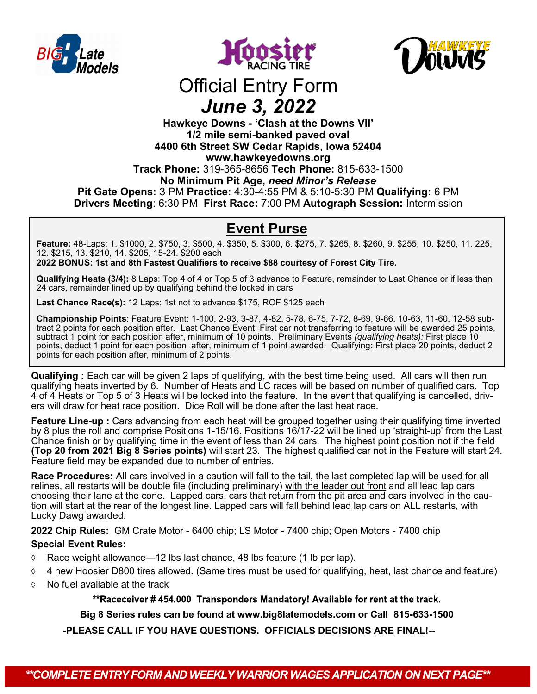





# Official Entry Form *June 3, 2022*

### **Hawkeye Downs - 'Clash at the Downs VII' 1/2 mile semi-banked paved oval 4400 6th Street SW Cedar Rapids, Iowa 52404 www.hawkeyedowns.org Track Phone:** 319-365-8656 **Tech Phone:** 815-633-1500 **No Minimum Pit Age,** *need Minor's Release* **Pit Gate Opens:** 3 PM **Practice:** 4:30-4:55 PM & 5:10-5:30 PM **Qualifying:** 6 PM **Drivers Meeting**: 6:30 PM **First Race:** 7:00 PM **Autograph Session:** Intermission

## **Event Purse**

**Feature:** 48-Laps: 1. \$1000, 2. \$750, 3. \$500, 4. \$350, 5. \$300, 6. \$275, 7. \$265, 8. \$260, 9. \$255, 10. \$250, 11. 225, 12. \$215, 13. \$210, 14. \$205, 15-24. \$200 each

**2022 BONUS: 1st and 8th Fastest Qualifiers to receive \$88 courtesy of Forest City Tire.**

**Qualifying Heats (3/4):** 8 Laps: Top 4 of 4 or Top 5 of 3 advance to Feature, remainder to Last Chance or if less than 24 cars, remainder lined up by qualifying behind the locked in cars

**Last Chance Race(s):** 12 Laps: 1st not to advance \$175, ROF \$125 each

**Championship Points**: Feature Event: 1-100, 2-93, 3-87, 4-82, 5-78, 6-75, 7-72, 8-69, 9-66, 10-63, 11-60, 12-58 subtract 2 points for each position after. Last Chance Event: First car not transferring to feature will be awarded 25 points, subtract 1 point for each position after, minimum of 10 points. Preliminary Events *(qualifying heats):* First place 10 points, deduct 1 point for each position after, minimum of 1 point awarded. Qualifying**:** First place 20 points, deduct 2 points for each position after, minimum of 2 points.

**Qualifying :** Each car will be given 2 laps of qualifying, with the best time being used. All cars will then run qualifying heats inverted by 6. Number of Heats and LC races will be based on number of qualified cars. Top 4 of 4 Heats or Top 5 of 3 Heats will be locked into the feature. In the event that qualifying is cancelled, drivers will draw for heat race position. Dice Roll will be done after the last heat race.

**Feature Line-up :** Cars advancing from each heat will be grouped together using their qualifying time inverted by 8 plus the roll and comprise Positions 1-15/16. Positions 16/17-22 will be lined up 'straight-up' from the Last Chance finish or by qualifying time in the event of less than 24 cars. The highest point position not if the field **(Top 20 from 2021 Big 8 Series points)** will start 23. The highest qualified car not in the Feature will start 24. Feature field may be expanded due to number of entries.

**Race Procedures:** All cars involved in a caution will fall to the tail, the last completed lap will be used for all relines, all restarts will be double file (including preliminary) with the leader out front and all lead lap cars choosing their lane at the cone. Lapped cars, cars that return from the pit area and cars involved in the caution will start at the rear of the longest line. Lapped cars will fall behind lead lap cars on ALL restarts, with Lucky Dawg awarded.

**2022 Chip Rules:** GM Crate Motor - 6400 chip; LS Motor - 7400 chip; Open Motors - 7400 chip **Special Event Rules:** 

- $\Diamond$  Race weight allowance—12 lbs last chance, 48 lbs feature (1 lb per lap).
- $\Diamond$  4 new Hoosier D800 tires allowed. (Same tires must be used for qualifying, heat, last chance and feature)
- $\Diamond$  No fuel available at the track

\*\*Raceceiver # 454.000 Transponders Mandatory! Available for rent at the track.

**Big 8 Series rules can be found at www.big8latemodels.com or Call 815-633-1500**

**-PLEASE CALL IF YOU HAVE QUESTIONS. OFFICIALS DECISIONS ARE FINAL!--***COMPLETE*